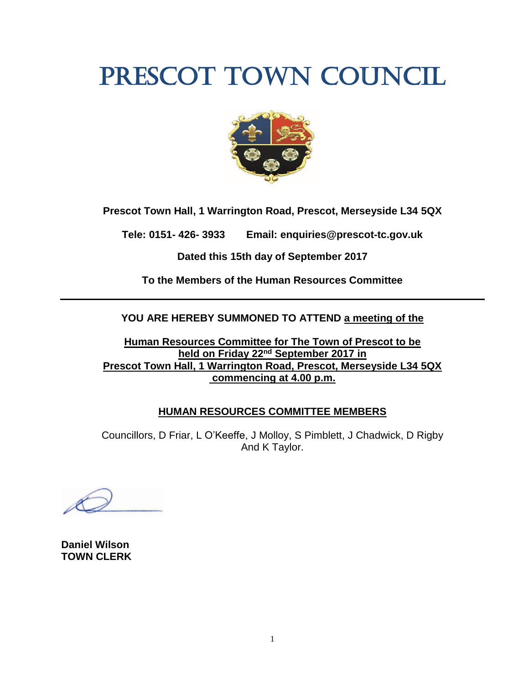# PRESCOT TOWN COUNCIL



**Prescot Town Hall, 1 Warrington Road, Prescot, Merseyside L34 5QX**

**Tele: 0151- 426- 3933 Email: enquiries@prescot-tc.gov.uk**

**Dated this 15th day of September 2017**

**To the Members of the Human Resources Committee**

## **YOU ARE HEREBY SUMMONED TO ATTEND a meeting of the**

**Human Resources Committee for The Town of Prescot to be held on Friday 22nd September 2017 in Prescot Town Hall, 1 Warrington Road, Prescot, Merseyside L34 5QX commencing at 4.00 p.m.**

## **HUMAN RESOURCES COMMITTEE MEMBERS**

Councillors, D Friar, L O'Keeffe, J Molloy, S Pimblett, J Chadwick, D Rigby And K Taylor.

**Daniel Wilson TOWN CLERK**